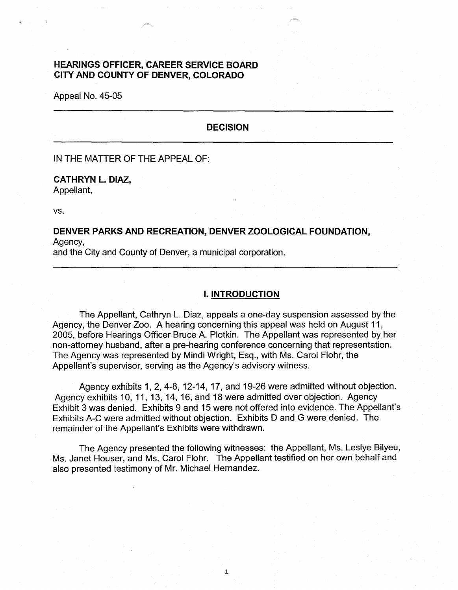### **HEARINGS OFFICER, CAREER SERVICE BOARD CITY AND COUNTY OF DENVER, COLORADO**

Appeal No. 45-05

### **DECISION**

IN THE MATTER OF THE APPEAL OF:

# **CATHRYN L. DIAZ,**

Appellant,

vs.

### **DENVER PARKS AND RECREATION, DENVER ZOOLOGICAL FOUNDATION,**  Agency,

and the City and County of Denver, a municipal corporation.

#### I. **INTRODUCTION**

The Appellant, Cathryn L. Diaz, appeals a one-day suspension assessed by the Agency, the Denver Zoo. A hearing concerning this appeal was held on August 11, 2005, before Hearings Officer Bruce A. Plotkin. The Appellant was represented by her non-attorney husband, after a pre-hearing conference concerning that representation. The Agency was represented by Mindi Wright, Esq., with Ms. Carol Flohr, the Appellant's supervisor, serving as the Agency's advisory witness.

Agency exhibits 1, 2, 4-8, 12-14, 17, and 19-26 were admitted without objection. Agency exhibits 10, 11, 13, 14, 16, and 18 were admitted over objection. Agency Exhibit 3 was denied. Exhibits 9 and 15 were not offered into evidence. The Appellant's Exhibits A-C were admitted without objection. Exhibits D and G were denied. The remainder of the Appellant's Exhibits were withdrawn.

The Agency presented the following witnesses: the Appellant, Ms. Leslye Bilyeu, Ms. Janet Houser, and Ms. Carol Flohr. The Appellant testified on her own behalf and also presented testimony of Mr. Michael Hernandez.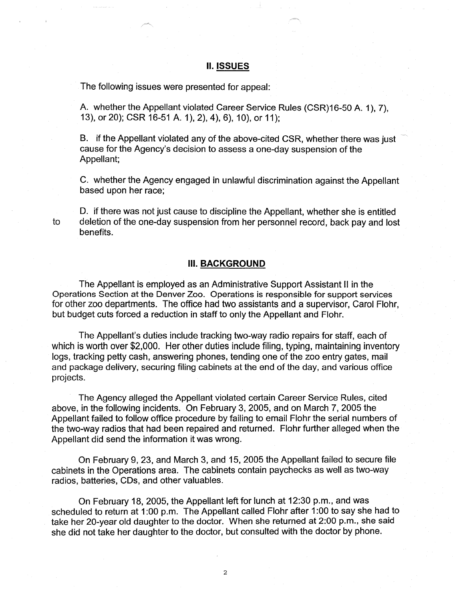### II. **ISSUES**

The following issues were presented for appeal:

A. whether the Appellant violated Career Service Rules (CSR)16-50 A. 1 ), 7), 13), or 20); CSR 16-51 A. 1), 2), 4), 6), 10), or 11);

B. if the Appellant violated any of the above-cited CSR, whether there was just cause for the Agency's decision to assess a one-day suspension of the Appellant;

C. whether the Agency engaged in unlawful discrimination against the Appellant based upon her race;

D. if there was not just cause to discipline the Appellant, whether she is entitled to deletion of the one-day suspension from her personnel record, back pay and lost benefits.

### **III. BACKGROUND**

The Appellant is employed as an Administrative Support Assistant II in the Operations Section at the Denver Zoo. Operations is responsible for support services for other zoo departments. The office had two assistants and a supervisor, Carol Flohr, but budget cuts forced a reduction in staff to only the Appellant and Flohr.

The Appellant's duties include tracking two-way radio repairs for staff, each of which is worth over \$2,000. Her other duties include filing, typing, maintaining inventory logs, tracking petty cash, answering phones, tending one of the zoo entry gates, mail and package delivery, securing filing cabinets at the end of the day, and various office projects.

The Agency alleged the Appellant violated certain Career Service Rules, cited above, in the following incidents. On February 3, 2005, and on March 7, 2005 the Appellant failed to follow office procedure by failing to email Flohr the serial numbers of the two-way radios that had been repaired and returned. Flohr further alleged when the Appellant did send the information it was wrong.

On February 9, 23, and March 3, and 15, 2005 the Appellant failed to secure file cabinets in the Operations area. The cabinets contain paychecks as well as two-way radios, batteries, CDs, and other valuables.

On February 18, 2005, the Appellant left for lunch at 12:30 p.m., and was scheduled to return at 1 :00 p.m. The Appellant called Flohr after 1 :00 to say she had to take her 20-year old daughter to the doctor. When she returned at 2:00 p.m., she said she did not take her daughter to the doctor, but consulted with the doctor by phone.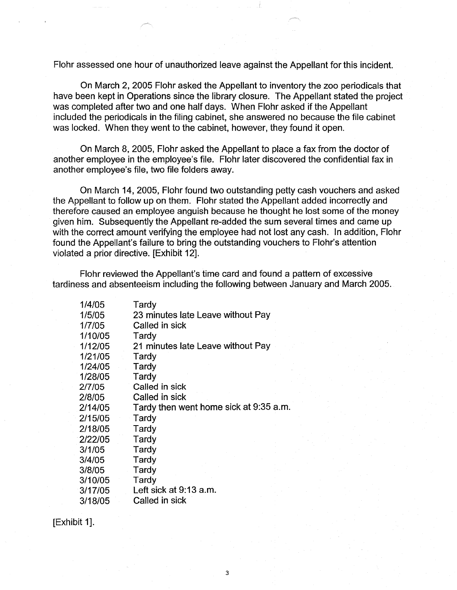Flohr assessed one hour of unauthorized leave against the Appellant for this incident.

On March 2, 2005 Flohr asked the Appellant to inventory the zoo periodicals that have been kept in Operations since the library closure. The Appellant stated the project was completed after two and one half days. When Flohr asked if the Appellant included the periodicals in the filing cabinet, she answered no because the file cabinet was locked. When they went to the cabinet, however, they found it open.

On March 8, 2005, Flohr asked the Appellant to place a fax from the doctor of another employee in the employee's file. Flohr later discovered the confidential fax in another employee's file, two file folders away.

On March 14, 2005, Flohr found two outstanding petty cash vouchers and asked the Appellant to follow up on them. Flohr stated the Appellant added incorrectly and therefore caused an employee anguish because he thought he lost some of the money given him. Subsequently the Appellant re-added the sum several times and came up with the correct amount verifying the employee had not lost any cash. In addition, Flohr found the Appellant's failure to bring the outstanding vouchers to Flohr's attention violated a prior directive. [Exhibit 12].

Flohr reviewed the Appellant's time card and found a pattern of excessive tardiness and absenteeism including the following between January and March 2005.

3

| 1/4/05  | Tardy                                  |  |
|---------|----------------------------------------|--|
| 1/5/05  | 23 minutes late Leave without Pay      |  |
| 1/7/05  | Called in sick                         |  |
| 1/10/05 | Tardy                                  |  |
| 1/12/05 | 21 minutes late Leave without Pay      |  |
| 1/21/05 | Tardy                                  |  |
| 1/24/05 | Tardy                                  |  |
| 1/28/05 | Tardy                                  |  |
| 2/7/05  | Called in sick                         |  |
| 2/8/05  | Called in sick                         |  |
| 2/14/05 | Tardy then went home sick at 9:35 a.m. |  |
| 2/15/05 | Tardy                                  |  |
| 2/18/05 | Tardy                                  |  |
| 2/22/05 | Tardy                                  |  |
| 3/1/05  | Tardy                                  |  |
| 3/4/05  | Tardy                                  |  |
| 3/8/05  | Tardy                                  |  |
| 3/10/05 | Tardy                                  |  |
| 3/17/05 | Left sick at 9:13 a.m.                 |  |
| 3/18/05 | Called in sick                         |  |

[Exhibit 1].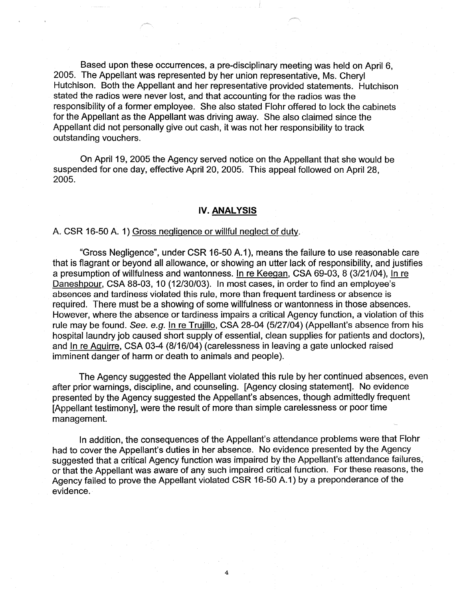Based upon these occurrences, a pre-disciplinary meeting was held on April 6, 2005. The Appellant was represented by her union representative, Ms. Cheryl Hutchison. Both the Appellant and her representative provided statements. Hutchison stated the radios were never lost, and that accounting for the radios was the responsibility of a former employee. She also stated Flohr offered to lock the cabinets for the Appellant as the Appellant was driving away. She also claimed since the Appellant did not personally give out cash, it was not her responsibility to track outstanding vouchers.

On April 19, 2005 the Agency served notice on the Appellant that she would be suspended for one day, effective April 20, 2005. This appeal followed on April 28, 2005.

#### **IV. ANALYSIS**

#### A. CSR 16-50 A. 1) Gross negligence or willful neglect of duty.

"Gross Negligence", under CSR 16-50 A.1), means the failure to use reasonable care that is flagrant or beyond all allowance, or showing an utter lack of responsibility, and justifies a presumption of willfulness and wantonness. In re Keegan, CSA 69-03, 8 (3/21/04), In re Daneshpour, CSA 88-03, 10 (12/30/03). In most cases, in order to find an employee's absences and tardiness violated this rule, more than frequent tardiness or absence is required. There must be a showing of some willfulness or wantonness in those absences. However, where the absence or tardiness impairs a critical Agency function, a violation of this rule may be found. See. e.g. In re Trujillo, CSA 28-04 (5/27/04) (Appellant's absence from his hospital laundry job caused short supply of essential, clean supplies for patients and doctors), and In re Aguirre, CSA 03-4 (8/16/04) (carelessness in leaving a gate unlocked raised imminent danger of harm or death to animals and people).

The Agency suggested the Appellant violated this rule by her continued absences, even after prior warnings, discipline, and counseling. [Agency closing statement]. No evidence presented by the Agency suggested the Appellant's absences, though admittedly frequent [Appellant testimony], were the result of more than simple carelessness or poor time management.

In addition, the consequences of the Appellant's attendance problems were that Flohr had to cover the Appellant's duties in her absence. No evidence presented by the Agency suggested that a critical Agency function was impaired by the Appellant's attendance failures, or that the Appellant was aware of any such impaired critical function. For these reasons, the Agency failed to prove the Appellant violated CSR 16-50 A.1) by a preponderance of the evidence.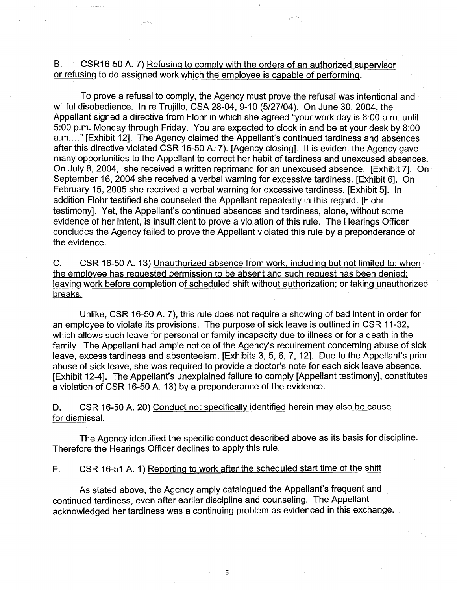# B. CSR16-50 A. 7) Refusing to comply with the orders of an authorized supervisor or refusing to do assigned work which the employee is capable of performing.

To prove a refusal to comply, the Agency must prove the refusal was intentional and willful disobedience. In re Trujillo, CSA 28-04, 9-10 (5/27/04). On June 30, 2004, the Appellant signed a directive from Flohr in which she agreed "your work day is 8:00 a.m. until 5:00 p.m. Monday through Friday. You are expected to clock in and be at your desk by 8:00 a.m...." [Exhibit 12]. The Agency claimed the Appellant's continued tardiness and absences after this directive violated CSR 16-50 A. 7). [Agency closing]. It is evident the Agency gave many opportunities to the Appellant to correct her habit of tardiness and unexcused absences. On July 8, 2004, she received a written reprimand for an unexcused absence. [Exhibit 7]. On September 16, 2004 she received a verbal warning for excessive tardiness. [Exhibit 6]. On February 15, 2005 she received a verbal warning for excessive tardiness. [Exhibit 5]. In addition Flohr testified she counseled the Appellant repeatedly in this regard. [Flohr testimony]. Yet, the Appellant's continued absences and tardiness, alone, without some evidence of her intent, is insufficient to prove a violation of this rule. The Hearings Officer concludes the Agency failed to prove the Appellant violated this rule by a preponderance of the evidence.

C. CSR 16-50 A. 13) Unauthorized absence from work. including but not limited to: when the employee has requested permission to be absent and such request has been denied; leaving work before completion of scheduled shift without authorization; or taking unauthorized breaks.

Unlike, CSR 16-50 A. 7), this rule does not require a showing of bad intent in order for an employee to violate its provisions. The purpose of sick leave is outlined in CSR 11-32, which allows such leave for personal or family incapacity due to illness or for a death in the family. The Appellant had ample notice of the Agency's requirement concerning abuse of sick leave, excess tardiness and absenteeism. [Exhibits 3, 5, 6, 7, 12]. Due to the Appellant's prior abuse of sick leave, she was required to provide a doctor's note for each sick leave absence. [Exhibit 12-4]. The Appellant's unexplained failure to comply [Appellant testimony], constitutes a violation of CSR 16-50 A. 13) by a preponderance of the evidence.

D. CSR 16-50 A. 20) Conduct not specifically identified herein may also be cause for dismissal.

The Agency identified the specific conduct described above as its basis for discipline. Therefore the Hearings Officer declines to apply this rule.

# E. CSR 16-51 A. 1) Reporting to work after the scheduled start time of the shift

As stated above, the Agency amply catalogued the Appellant's frequent and continued tardiness, even after earlier discipline and counseling. The Appellant acknowledged her tardiness was a continuing problem as evidenced in this exchange.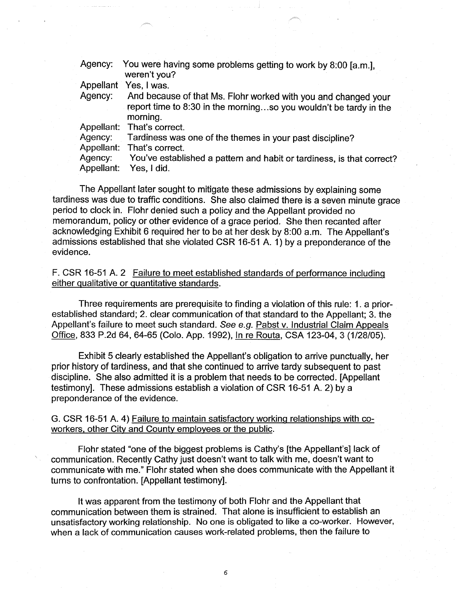| Agency:    | You were having some problems getting to work by 8:00 [a.m.],<br>weren't you?                                                                   |
|------------|-------------------------------------------------------------------------------------------------------------------------------------------------|
|            | Appellant Yes, I was.                                                                                                                           |
| Agency:    | And because of that Ms. Flohr worked with you and changed your<br>report time to 8:30 in the morningso you wouldn't be tardy in the<br>morning. |
|            | Appellant: That's correct.                                                                                                                      |
| Agency:    | Tardiness was one of the themes in your past discipline?                                                                                        |
|            | Appellant: That's correct.                                                                                                                      |
| Agency:    | You've established a pattern and habit or tardiness, is that correct?                                                                           |
| Appellant: | Yes, I did.                                                                                                                                     |

The Appellant later sought to mitigate these admissions by explaining some tardiness was due to traffic conditions. She also claimed there is a seven minute grace period to clock in. Flohr denied such a policy and the Appellant provided no memorandum, policy or other evidence of a grace period. She then recanted after acknowledging Exhibit 6 required her to be at her desk by 8:00 a.m. The Appellant's admissions established that she violated CSR 16-51 A. 1) by a preponderance of the evidence.

F. CSR 16-51 A. 2 Failure to meet established standards of performance including either qualitative or quantitative standards.

Three requirements are prerequisite to finding a violation of this rule: 1. a priorestablished standard; 2. clear communication of that standard to the Appellant; 3. the Appellant's failure to meet such standard. See e.g. Pabst v. Industrial Claim Appeals Office, 833 P.2d 64, 64-65 (Colo. App. 1992), In re Routa, CSA 123-04, 3 (1/28/05).

Exhibit 5 clearly established the Appellant's obligation to arrive punctually, her prior history of tardiness, and that she continued to arrive tardy subsequent to past discipline. She also admitted it is a problem that needs to be corrected. [Appellant testimony]. These admissions establish a violation of CSR 16-51 A. 2) by a preponderance of the evidence.

G. CSR 16-51 A. 4) Failure to maintain satisfactory working relationships with coworkers, other City and County employees or the public.

Flohr stated "one of the biggest problems is Cathy's [the Appellant's] lack of communication. Recently Cathy just doesn't want to talk with me, doesn't want to communicate with me." Flohr stated when she does communicate with the Appellant it turns to confrontation. [Appellant testimony].

It was apparent from the testimony of both Flohr and the Appellant that communication between them is strained. That alone is insufficient to establish an unsatisfactory working relationship. No one is obligated to like a co-worker. However, when a lack of communication causes work-related problems, then the failure to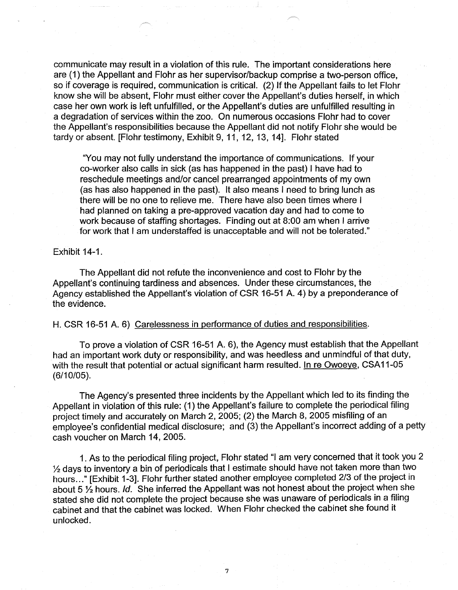communicate may result in a violation of this rule. The important considerations here are (1) the Appellant and Flohr as her supervisor/backup comprise a two-person office, so if coverage is required, communication is critical. (2) If the Appellant fails to let Flohr know she will be absent, Flohr must either cover the Appellant's duties herself, in which case her own work is left unfulfilled, or the Appellant's duties are unfulfilled resulting in a degradation of services within the zoo. On numerous occasions Flohr had to cover the Appellant's responsibilities because the Appellant did not notify Flohr she would be tardy or absent. [Flohr testimony, Exhibit 9, 11, 12, 13, 14]. Flohr stated

"You may not fully understand the importance of communications. If your co-worker also calls in sick (as has happened in the past) I have had to reschedule meetings and/or cancel prearranged appointments of my own (as has also happened in the past). It also means I need to bring lunch as there will be no one to relieve me. There have also been times where I had planned on taking a pre-approved vacation day and had to come to work because of staffing shortages. Finding out at 8:00 am when I arrive for work that I am understaffed is unacceptable and will not be tolerated."

Exhibit 14-1.

The Appellant did not refute the inconvenience and cost to Flohr by the Appellant's continuing tardiness and absences. Under these circumstances, the Agency established the Appellant's violation of CSR 16-51 A. 4) by a preponderance of the evidence.

#### H. CSR 16-51 A. 6) Carelessness in performance of duties and responsibilities.

To prove a violation of CSR 16-51 A. 6), the Agency must establish that the Appellant had an important work duty or responsibility, and was heedless and unmindful of that duty, with the result that potential or actual significant harm resulted. In re Owoeye, CSA11-05 (6/10/05).

The Agency's presented three incidents by the Appellant which led to its finding the Appellant in violation of this rule: (1) the Appellant's failure to complete the periodical filing project timely and accurately on March 2, 2005; (2) the March 8, 2005 misfiling of an employee's confidential medical disclosure; and (3) the Appellant's incorrect adding of a petty cash voucher on March 14, 2005.

1. As to the periodical filing project, Flohr stated "I am very concerned that it took you 2 ½ days to inventory a bin of periodicals that I estimate should have not taken more than two hours ... " [Exhibit 1-3]. Flohr further stated another employee completed 2/3 of the project in about 5 ½ hours. Id. She inferred the Appellant was not honest about the project when she stated she did not complete the project because she was unaware of periodicals in a filing cabinet and that the cabinet was locked. When Flohr checked the cabinet she found it unlocked.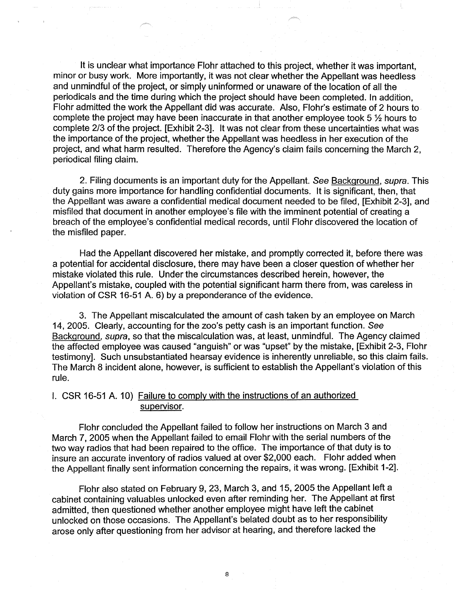It is unclear what importance Flohr attached to this project, whether it was important, minor or busy work. More importantly, it was not clear whether the Appellant was heedless and unmindful of the project, or simply uninformed or unaware of the location of all the periodicals and the time during which the project should have been completed. In addition, Flohr admitted the work the Appellant did was accurate. Also, Flohr's estimate of 2 hours to complete the project may have been inaccurate in that another employee took 5 ½ hours to complete 2/3 of the project. [Exhibit 2-3]. It was not clear from these uncertainties what was the importance of the project, whether the Appellant was heedless in her execution of the project, and what harm resulted. Therefore the Agency's claim fails concerning the March 2, periodical filing claim.

2. Filing documents is an important duty for the Appellant. See Background, supra. This duty gains more importance for handling confidential documents. It is significant, then, that the Appellant was aware a confidential medical document needed to be filed, [Exhibit 2-3], and misfiled that document in another employee's file with the imminent potential of creating a breach of the employee's confidential medical records, until Flohr discovered the location of the misfiled paper.

Had the Appellant discovered her mistake, and promptly corrected it, before there was a potential for accidental disclosure, there may have been a closer question of whether her mistake violated this rule. Under the circumstances described herein, however, the Appellant's mistake, coupled with the potential significant harm there from, was careless in violation of CSR 16-51 A. 6) by a preponderance of the evidence.

3. The Appellant miscalculated the amount of cash taken by an employee on March 14, 2005. Clearly, accounting for the zoo's petty cash is an important function. See Background, supra, so that the miscalculation was, at least, unmindful. The Agency claimed the affected employee was caused "anguish" or was "upset" by the mistake, [Exhibit 2-3, Flohr testimony]. Such unsubstantiated hearsay evidence is inherently unreliable, so this claim fails. The March 8 incident alone, however, is sufficient to establish the Appellant's violation of this rule.

# I. CSR 16-51 A. 10) Failure to comply with the instructions of an authorized supervisor.

Flohr concluded the Appellant failed to follow her instructions on March 3 and March 7, 2005 when the Appellant failed to email Flohr with the serial numbers of the two way radios that had been repaired to the office. The importance of that duty is to insure an accurate inventory of radios valued at over \$2,000 each. Flohr added when the Appellant finally sent information concerning the repairs, it was wrong. [Exhibit 1-2].

Flohr also stated on February 9, 23, March 3, and 15, 2005 the Appellant left a cabinet containing valuables unlocked even after reminding her. The Appellant at first admitted, then questioned whether another employee might have left the cabinet unlocked on those occasions. The Appellant's belated doubt as to her responsibility arose only after questioning from her advisor at hearing, and therefore lacked the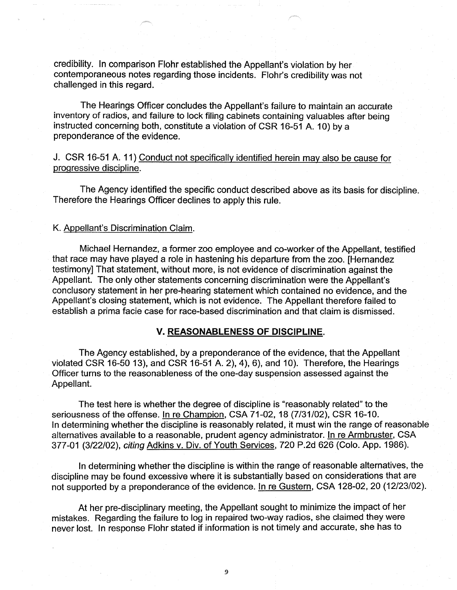credibility. In comparison Flohr established the Appellant's violation by her contemporaneous notes regarding those incidents. Flohr's credibility was not challenged in this regard.

The Hearings Officer concludes the Appellant's failure to maintain an accurate inventory of radios, and failure to lock filing cabinets containing valuables after being instructed concerning both, constitute a violation of CSR 16-51 A. 10) by a preponderance of the evidence.

# J. CSR 16-51 A. 11) Conduct not specifically identified herein may also be cause for progressive discipline.

The Agency identified the specific conduct described above as its basis for discipline. Therefore the Hearings Officer declines to apply this rule.

#### K. Appellant's Discrimination Claim.

Michael Hernandez, a former zoo employee and co-worker of the Appellant, testified that race may have played a role in hastening his departure from the zoo. [Hernandez testimony] That statement, without more, is not evidence of discrimination against the Appellant. The only other statements concerning discrimination were the Appellant's conclusory statement in her pre-hearing statement which contained no evidence, and the Appellant's closing statement, which is not evidence. The Appellant therefore failed to establish a prima facie case for race-based discrimination and that claim is dismissed.

#### **V. REASONABLENESS OF DISCIPLINE.**

The Agency established, by a preponderance of the evidence, that the Appellant violated CSR 16-50 13), and CSR 16-51 A. 2), 4 ), 6), and 10). Therefore, the Hearings Officer turns to the reasonableness of the one-day suspension assessed against the Appellant.

The test here is whether the degree of discipline is "reasonably related" to the seriousness of the offense. In re Champion, CSA 71-02, 18 (7/31/02), CSR 16-10. In determining whether the discipline is reasonably related, it must win the range of reasonable alternatives available to a reasonable, prudent agency administrator. In re Armbruster, CSA 377-01 (3/22/02), citing Adkins v. Div. of Youth Services, 720 P .2d 626 (Colo. App. 1986).

In determining whether the discipline is within the range of reasonable alternatives, the discipline may be found excessive where it is substantially based on considerations that are not supported by a preponderance of the evidence. In re Gustern, CSA 128-02, 20 (12/23/02).

At her pre-disciplinary meeting, the Appellant sought to minimize the impact of her mistakes. Regarding the failure to log in repaired two-way radios, she claimed they were never lost. In response Flohr stated if information is not timely and accurate, she has to